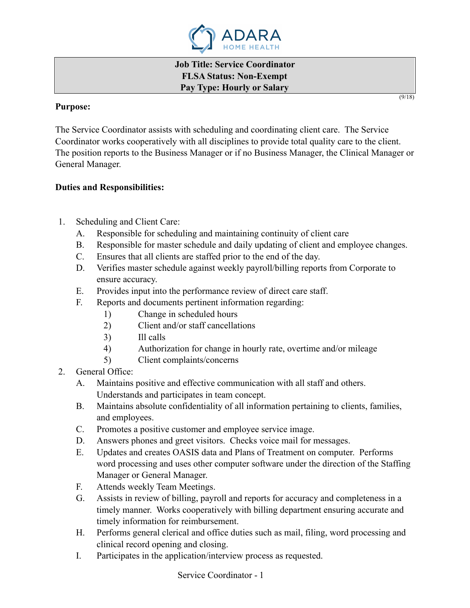

**Job Title: Service Coordinator FLSA Status: Non-Exempt Pay Type: Hourly or Salary** 

#### **Purpose:**

The Service Coordinator assists with scheduling and coordinating client care. The Service Coordinator works cooperatively with all disciplines to provide total quality care to the client. The position reports to the Business Manager or if no Business Manager, the Clinical Manager or General Manager.

## **Duties and Responsibilities:**

- 1. Scheduling and Client Care:
	- A. Responsible for scheduling and maintaining continuity of client care
	- B. Responsible for master schedule and daily updating of client and employee changes.
	- C. Ensures that all clients are staffed prior to the end of the day.
	- D. Verifies master schedule against weekly payroll/billing reports from Corporate to ensure accuracy.
	- E. Provides input into the performance review of direct care staff.
	- F. Reports and documents pertinent information regarding:
		- 1) Change in scheduled hours
		- 2) Client and/or staff cancellations
		- 3) Ill calls
		- 4) Authorization for change in hourly rate, overtime and/or mileage
		- 5) Client complaints/concerns
- 2. General Office:
	- A. Maintains positive and effective communication with all staff and others. Understands and participates in team concept.
	- B. Maintains absolute confidentiality of all information pertaining to clients, families, and employees.
	- C. Promotes a positive customer and employee service image.
	- D. Answers phones and greet visitors. Checks voice mail for messages.
	- E. Updates and creates OASIS data and Plans of Treatment on computer. Performs word processing and uses other computer software under the direction of the Staffing Manager or General Manager.
	- F. Attends weekly Team Meetings.
	- G. Assists in review of billing, payroll and reports for accuracy and completeness in a timely manner. Works cooperatively with billing department ensuring accurate and timely information for reimbursement.
	- H. Performs general clerical and office duties such as mail, filing, word processing and clinical record opening and closing.
	- I. Participates in the application/interview process as requested.

 $(9/18)$